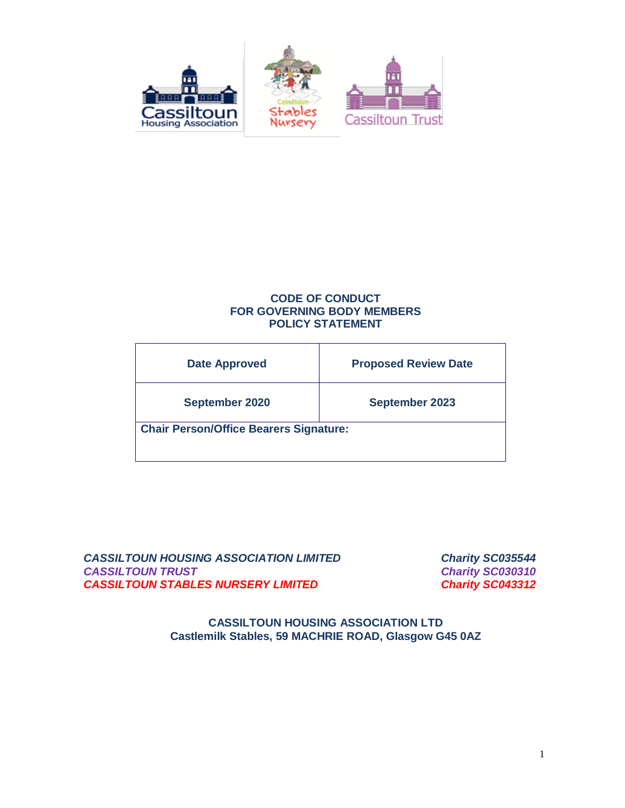

# **CODE OF CONDUCT FOR GOVERNING BODY MEMBERS POLICY STATEMENT**

| <b>Date Approved</b>                          | <b>Proposed Review Date</b> |  |
|-----------------------------------------------|-----------------------------|--|
| September 2020                                | <b>September 2023</b>       |  |
| <b>Chair Person/Office Bearers Signature:</b> |                             |  |

*CASSILTOUN HOUSING ASSOCIATION LIMITED Charity SC035544 CASSILTOUN TRUST Charity SC030310 CASSILTOUN STABLES NURSERY LIMITED Charity SC043312*

**CASSILTOUN HOUSING ASSOCIATION LTD Castlemilk Stables, 59 MACHRIE ROAD, Glasgow G45 0AZ**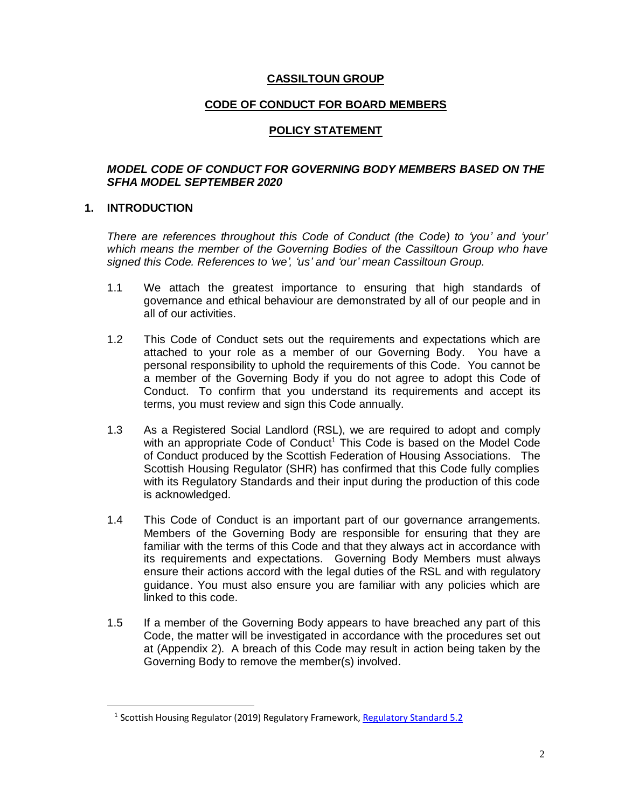### **CASSILTOUN GROUP**

### **CODE OF CONDUCT FOR BOARD MEMBERS**

### **POLICY STATEMENT**

### *MODEL CODE OF CONDUCT FOR GOVERNING BODY MEMBERS BASED ON THE SFHA MODEL SEPTEMBER 2020*

#### **1. INTRODUCTION**

*There are references throughout this Code of Conduct (the Code) to 'you' and 'your' which means the member of the Governing Bodies of the Cassiltoun Group who have signed this Code. References to 'we', 'us' and 'our' mean Cassiltoun Group.*

- 1.1 We attach the greatest importance to ensuring that high standards of governance and ethical behaviour are demonstrated by all of our people and in all of our activities.
- 1.2 This Code of Conduct sets out the requirements and expectations which are attached to your role as a member of our Governing Body. You have a personal responsibility to uphold the requirements of this Code. You cannot be a member of the Governing Body if you do not agree to adopt this Code of Conduct. To confirm that you understand its requirements and accept its terms, you must review and sign this Code annually.
- 1.3 As a Registered Social Landlord (RSL), we are required to adopt and comply with an appropriate Code of Conduct<sup>1</sup> This Code is based on the Model Code of Conduct produced by the Scottish Federation of Housing Associations. The Scottish Housing Regulator (SHR) has confirmed that this Code fully complies with its Regulatory Standards and their input during the production of this code is acknowledged.
- 1.4 This Code of Conduct is an important part of our governance arrangements. Members of the Governing Body are responsible for ensuring that they are familiar with the terms of this Code and that they always act in accordance with its requirements and expectations. Governing Body Members must always ensure their actions accord with the legal duties of the RSL and with regulatory guidance. You must also ensure you are familiar with any policies which are linked to this code.
- 1.5 If a member of the Governing Body appears to have breached any part of this Code, the matter will be investigated in accordance with the procedures set out at (Appendix 2). A breach of this Code may result in action being taken by the Governing Body to remove the member(s) involved.

<sup>&</sup>lt;sup>1</sup> Scottish Housing Regulator (2019) Regulatory Framework[, Regulatory Standard 5.2](https://www.housingregulator.gov.scot/for-landlords/regulatory-framework#section-3)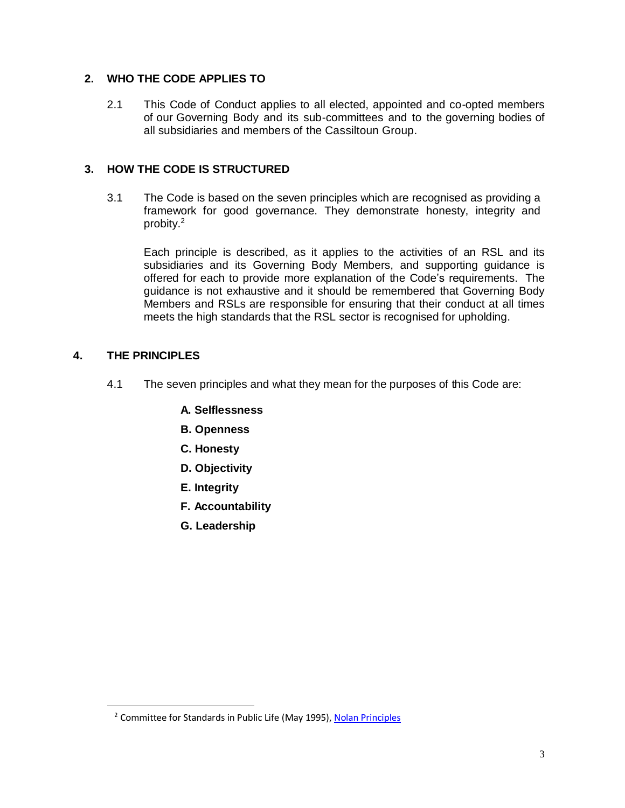# **2. WHO THE CODE APPLIES TO**

2.1 This Code of Conduct applies to all elected, appointed and co-opted members of our Governing Body and its sub-committees and to the governing bodies of all subsidiaries and members of the Cassiltoun Group.

### **3. HOW THE CODE IS STRUCTURED**

3.1 The Code is based on the seven principles which are recognised as providing a framework for good governance. They demonstrate honesty, integrity and probity. 2

Each principle is described, as it applies to the activities of an RSL and its subsidiaries and its Governing Body Members, and supporting guidance is offered for each to provide more explanation of the Code's requirements. The guidance is not exhaustive and it should be remembered that Governing Body Members and RSLs are responsible for ensuring that their conduct at all times meets the high standards that the RSL sector is recognised for upholding.

### **4. THE PRINCIPLES**

- 4.1 The seven principles and what they mean for the purposes of this Code are:
	- **A. Selflessness**
	- **B. Openness**
	- **C. Honesty**
	- **D. Objectivity**
	- **E. Integrity**
	- **F. Accountability**
	- **G. Leadership**

<sup>&</sup>lt;sup>2</sup> Committee for Standards in Public Life (May 1995), [Nolan Principles](https://www.gov.uk/government/publications/the-7-principles-of-public-life/the-7-principles-of-public-life--2)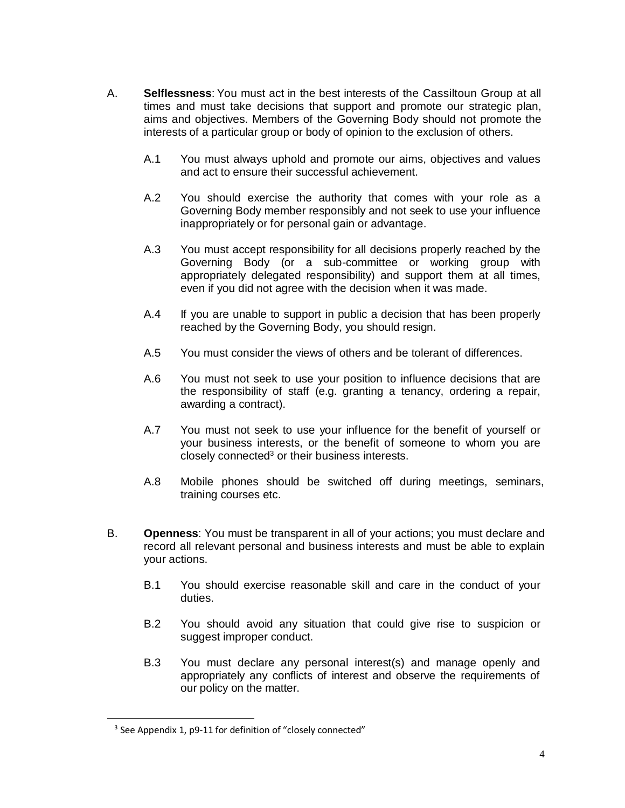- A. **Selflessness**: You must act in the best interests of the Cassiltoun Group at all times and must take decisions that support and promote our strategic plan, aims and objectives. Members of the Governing Body should not promote the interests of a particular group or body of opinion to the exclusion of others.
	- A.1 You must always uphold and promote our aims, objectives and values and act to ensure their successful achievement.
	- A.2 You should exercise the authority that comes with your role as a Governing Body member responsibly and not seek to use your influence inappropriately or for personal gain or advantage.
	- A.3 You must accept responsibility for all decisions properly reached by the Governing Body (or a sub-committee or working group with appropriately delegated responsibility) and support them at all times, even if you did not agree with the decision when it was made.
	- A.4 If you are unable to support in public a decision that has been properly reached by the Governing Body, you should resign.
	- A.5 You must consider the views of others and be tolerant of differences.
	- A.6 You must not seek to use your position to influence decisions that are the responsibility of staff (e.g. granting a tenancy, ordering a repair, awarding a contract).
	- A.7 You must not seek to use your influence for the benefit of yourself or your business interests, or the benefit of someone to whom you are closely connected <sup>3</sup> or their business interests.
	- A.8 Mobile phones should be switched off during meetings, seminars, training courses etc.
- B. **Openness**: You must be transparent in all of your actions; you must declare and record all relevant personal and business interests and must be able to explain your actions.
	- B.1 You should exercise reasonable skill and care in the conduct of your duties.
	- B.2 You should avoid any situation that could give rise to suspicion or suggest improper conduct.
	- B.3 You must declare any personal interest(s) and manage openly and appropriately any conflicts of interest and observe the requirements of our policy on the matter.

 $\overline{a}$ 

<sup>&</sup>lt;sup>3</sup> See Appendix 1, p9-11 for definition of "closely connected"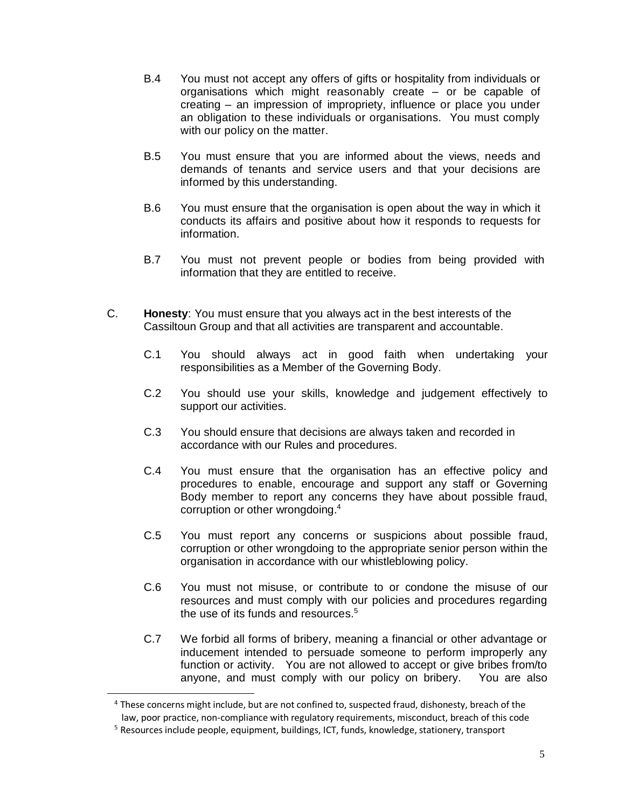- B.4 You must not accept any offers of gifts or hospitality from individuals or organisations which might reasonably create – or be capable of creating – an impression of impropriety, influence or place you under an obligation to these individuals or organisations. You must comply with our policy on the matter.
- B.5 You must ensure that you are informed about the views, needs and demands of tenants and service users and that your decisions are informed by this understanding.
- B.6 You must ensure that the organisation is open about the way in which it conducts its affairs and positive about how it responds to requests for information.
- B.7 You must not prevent people or bodies from being provided with information that they are entitled to receive.
- C. **Honesty**: You must ensure that you always act in the best interests of the Cassiltoun Group and that all activities are transparent and accountable.
	- C.1 You should always act in good faith when undertaking your responsibilities as a Member of the Governing Body.
	- C.2 You should use your skills, knowledge and judgement effectively to support our activities.
	- C.3 You should ensure that decisions are always taken and recorded in accordance with our Rules and procedures.
	- C.4 You must ensure that the organisation has an effective policy and procedures to enable, encourage and support any staff or Governing Body member to report any concerns they have about possible fraud, corruption or other wrongdoing.<sup>4</sup>
	- C.5 You must report any concerns or suspicions about possible fraud, corruption or other wrongdoing to the appropriate senior person within the organisation in accordance with our whistleblowing policy.
	- C.6 You must not misuse, or contribute to or condone the misuse of our resources and must comply with our policies and procedures regarding the use of its funds and resources. 5
	- C.7 We forbid all forms of bribery, meaning a financial or other advantage or inducement intended to persuade someone to perform improperly any function or activity. You are not allowed to accept or give bribes from/to anyone, and must comply with our policy on bribery. You are also

<sup>&</sup>lt;sup>4</sup> These concerns might include, but are not confined to, suspected fraud, dishonesty, breach of the law, poor practice, non-compliance with regulatory requirements, misconduct, breach of this code

<sup>&</sup>lt;sup>5</sup> Resources include people, equipment, buildings, ICT, funds, knowledge, stationery, transport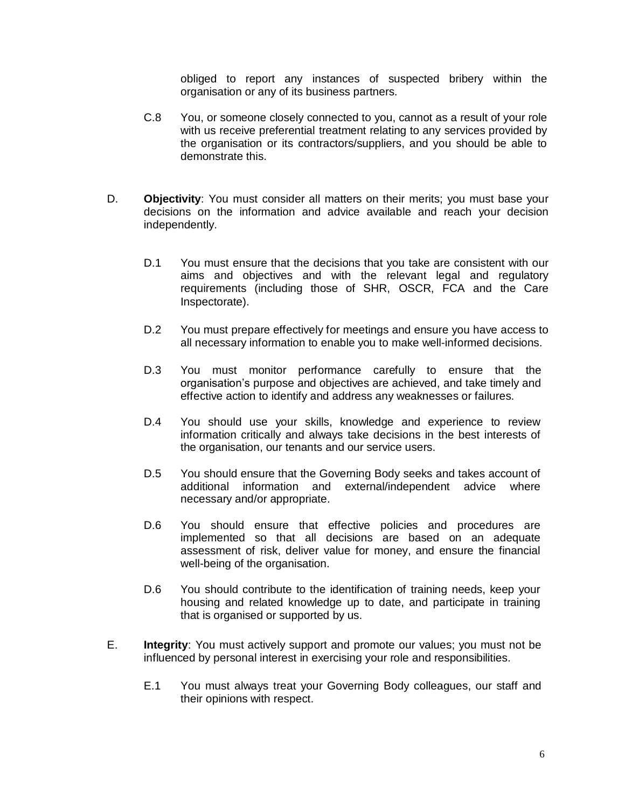obliged to report any instances of suspected bribery within the organisation or any of its business partners.

- C.8 You, or someone closely connected to you, cannot as a result of your role with us receive preferential treatment relating to any services provided by the organisation or its contractors/suppliers, and you should be able to demonstrate this.
- D. **Objectivity**: You must consider all matters on their merits; you must base your decisions on the information and advice available and reach your decision independently.
	- D.1 You must ensure that the decisions that you take are consistent with our aims and objectives and with the relevant legal and regulatory requirements (including those of SHR, OSCR, FCA and the Care Inspectorate).
	- D.2 You must prepare effectively for meetings and ensure you have access to all necessary information to enable you to make well-informed decisions.
	- D.3 You must monitor performance carefully to ensure that the organisation's purpose and objectives are achieved, and take timely and effective action to identify and address any weaknesses or failures.
	- D.4 You should use your skills, knowledge and experience to review information critically and always take decisions in the best interests of the organisation, our tenants and our service users.
	- D.5 You should ensure that the Governing Body seeks and takes account of additional information and external/independent advice where necessary and/or appropriate.
	- D.6 You should ensure that effective policies and procedures are implemented so that all decisions are based on an adequate assessment of risk, deliver value for money, and ensure the financial well-being of the organisation.
	- D.6 You should contribute to the identification of training needs, keep your housing and related knowledge up to date, and participate in training that is organised or supported by us.
- E. **Integrity**: You must actively support and promote our values; you must not be influenced by personal interest in exercising your role and responsibilities.
	- E.1 You must always treat your Governing Body colleagues, our staff and their opinions with respect.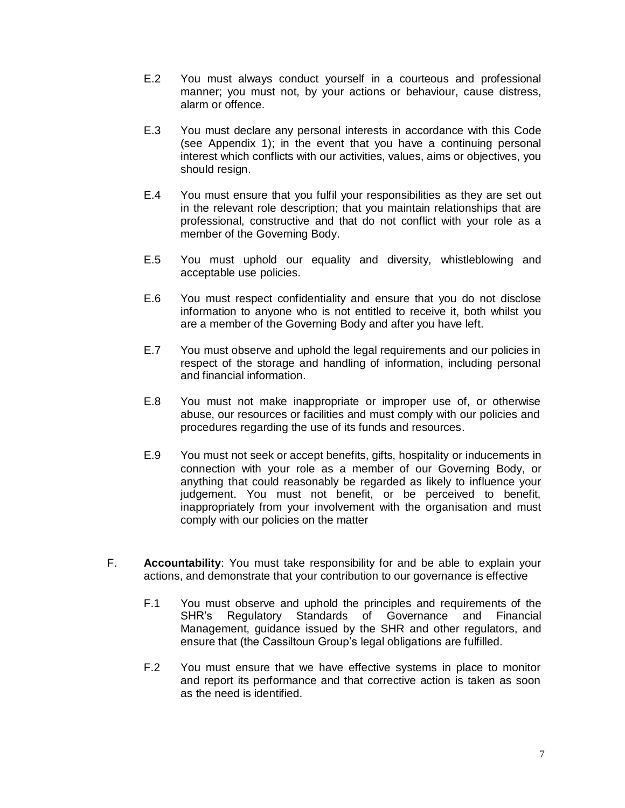- E.2 You must always conduct yourself in a courteous and professional manner; you must not, by your actions or behaviour, cause distress, alarm or offence.
- E.3 You must declare any personal interests in accordance with this Code (see Appendix 1); in the event that you have a continuing personal interest which conflicts with our activities, values, aims or objectives, you should resign.
- E.4 You must ensure that you fulfil your responsibilities as they are set out in the relevant role description; that you maintain relationships that are professional, constructive and that do not conflict with your role as a member of the Governing Body.
- E.5 You must uphold our equality and diversity, whistleblowing and acceptable use policies.
- E.6 You must respect confidentiality and ensure that you do not disclose information to anyone who is not entitled to receive it, both whilst you are a member of the Governing Body and after you have left.
- E.7 You must observe and uphold the legal requirements and our policies in respect of the storage and handling of information, including personal and financial information.
- E.8 You must not make inappropriate or improper use of, or otherwise abuse, our resources or facilities and must comply with our policies and procedures regarding the use of its funds and resources.
- E.9 You must not seek or accept benefits, gifts, hospitality or inducements in connection with your role as a member of our Governing Body, or anything that could reasonably be regarded as likely to influence your judgement. You must not benefit, or be perceived to benefit, inappropriately from your involvement with the organisation and must comply with our policies on the matter
- F. **Accountability**: You must take responsibility for and be able to explain your actions, and demonstrate that your contribution to our governance is effective
	- F.1 You must observe and uphold the principles and requirements of the SHR's Regulatory Standards of Governance and Financial Management, guidance issued by the SHR and other regulators, and ensure that (the Cassiltoun Group's legal obligations are fulfilled.
	- F.2 You must ensure that we have effective systems in place to monitor and report its performance and that corrective action is taken as soon as the need is identified.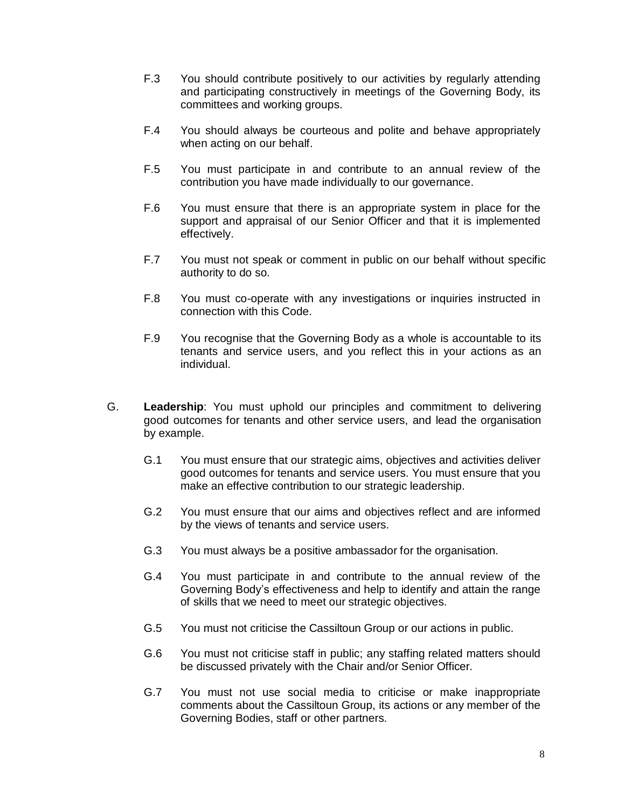- F.3 You should contribute positively to our activities by regularly attending and participating constructively in meetings of the Governing Body, its committees and working groups.
- F.4 You should always be courteous and polite and behave appropriately when acting on our behalf.
- F.5 You must participate in and contribute to an annual review of the contribution you have made individually to our governance.
- F.6 You must ensure that there is an appropriate system in place for the support and appraisal of our Senior Officer and that it is implemented effectively.
- F.7 You must not speak or comment in public on our behalf without specific authority to do so.
- F.8 You must co-operate with any investigations or inquiries instructed in connection with this Code.
- F.9 You recognise that the Governing Body as a whole is accountable to its tenants and service users, and you reflect this in your actions as an individual.
- G. **Leadership**: You must uphold our principles and commitment to delivering good outcomes for tenants and other service users, and lead the organisation by example.
	- G.1 You must ensure that our strategic aims, objectives and activities deliver good outcomes for tenants and service users. You must ensure that you make an effective contribution to our strategic leadership.
	- G.2 You must ensure that our aims and objectives reflect and are informed by the views of tenants and service users.
	- G.3 You must always be a positive ambassador for the organisation.
	- G.4 You must participate in and contribute to the annual review of the Governing Body's effectiveness and help to identify and attain the range of skills that we need to meet our strategic objectives.
	- G.5 You must not criticise the Cassiltoun Group or our actions in public.
	- G.6 You must not criticise staff in public; any staffing related matters should be discussed privately with the Chair and/or Senior Officer.
	- G.7 You must not use social media to criticise or make inappropriate comments about the Cassiltoun Group, its actions or any member of the Governing Bodies, staff or other partners.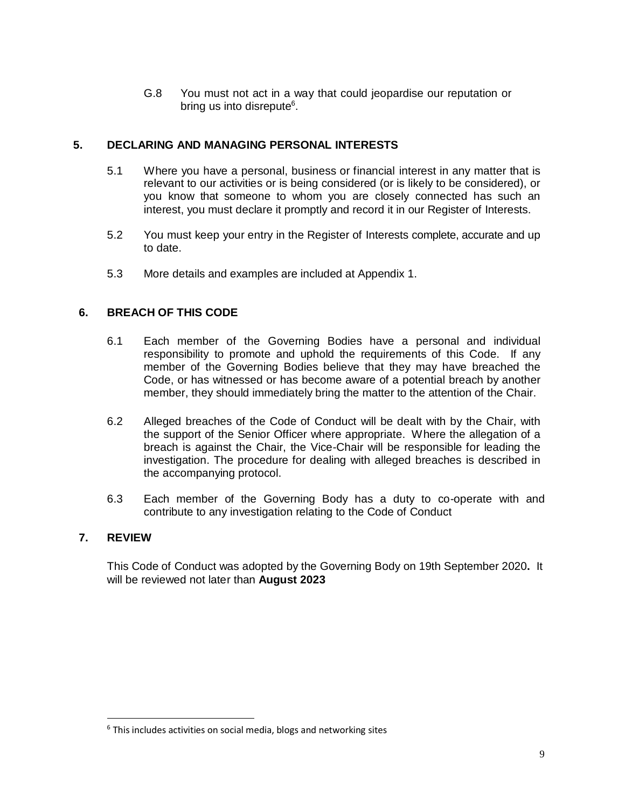G.8 You must not act in a way that could jeopardise our reputation or bring us into disrepute<sup>6</sup>.

### **5. DECLARING AND MANAGING PERSONAL INTERESTS**

- 5.1 Where you have a personal, business or financial interest in any matter that is relevant to our activities or is being considered (or is likely to be considered), or you know that someone to whom you are closely connected has such an interest, you must declare it promptly and record it in our Register of Interests.
- 5.2 You must keep your entry in the Register of Interests complete, accurate and up to date.
- 5.3 More details and examples are included at Appendix 1.

# **6. BREACH OF THIS CODE**

- 6.1 Each member of the Governing Bodies have a personal and individual responsibility to promote and uphold the requirements of this Code. If any member of the Governing Bodies believe that they may have breached the Code, or has witnessed or has become aware of a potential breach by another member, they should immediately bring the matter to the attention of the Chair.
- 6.2 Alleged breaches of the Code of Conduct will be dealt with by the Chair, with the support of the Senior Officer where appropriate. Where the allegation of a breach is against the Chair, the Vice-Chair will be responsible for leading the investigation. The procedure for dealing with alleged breaches is described in the accompanying protocol.
- 6.3 Each member of the Governing Body has a duty to co-operate with and contribute to any investigation relating to the Code of Conduct

### **7. REVIEW**

 $\overline{a}$ 

This Code of Conduct was adopted by the Governing Body on 19th September 2020**.** It will be reviewed not later than **August 2023**

 $6$  This includes activities on social media, blogs and networking sites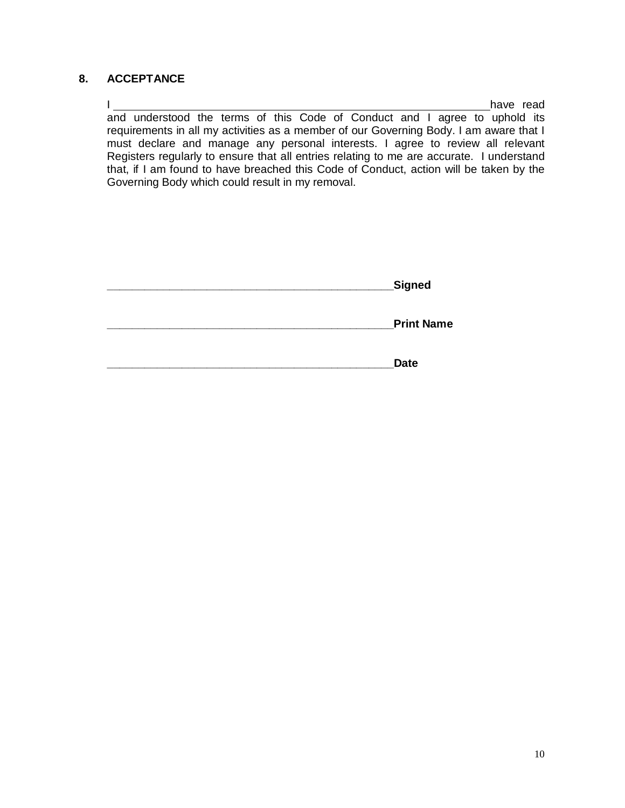### **8. ACCEPTANCE**

I have read and understood the terms of this Code of Conduct and I agree to uphold its requirements in all my activities as a member of our Governing Body. I am aware that I must declare and manage any personal interests. I agree to review all relevant Registers regularly to ensure that all entries relating to me are accurate. I understand that, if I am found to have breached this Code of Conduct, action will be taken by the Governing Body which could result in my removal.

| Signed |
|--------|
|        |

**\_\_\_\_\_\_\_\_\_\_\_\_\_\_\_\_\_\_\_\_\_\_\_\_\_\_\_\_\_\_\_\_\_\_\_\_\_\_\_\_\_\_\_\_\_\_Print Name**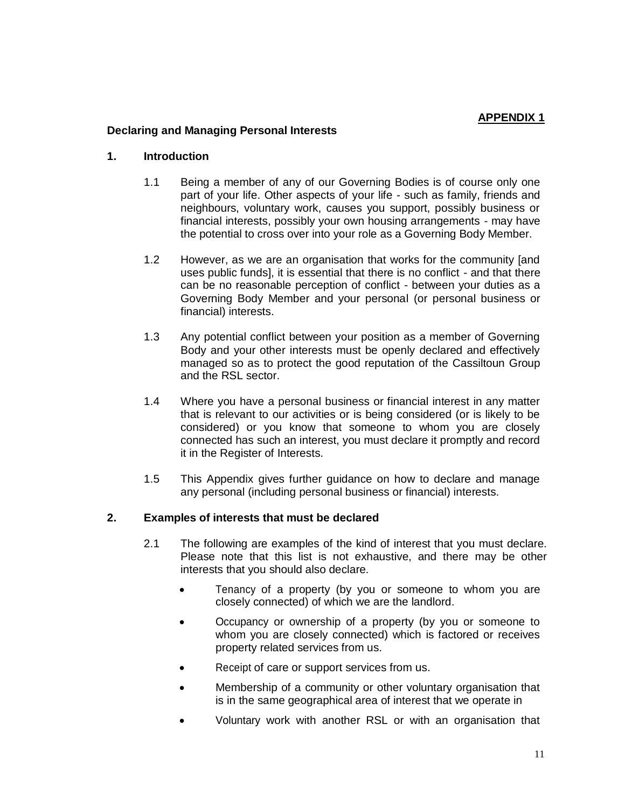#### **APPENDIX 1**

#### **Declaring and Managing Personal Interests**

#### **1. Introduction**

- 1.1 Being a member of any of our Governing Bodies is of course only one part of your life. Other aspects of your life - such as family, friends and neighbours, voluntary work, causes you support, possibly business or financial interests, possibly your own housing arrangements - may have the potential to cross over into your role as a Governing Body Member.
- 1.2 However, as we are an organisation that works for the community [and uses public funds], it is essential that there is no conflict - and that there can be no reasonable perception of conflict - between your duties as a Governing Body Member and your personal (or personal business or financial) interests.
- 1.3 Any potential conflict between your position as a member of Governing Body and your other interests must be openly declared and effectively managed so as to protect the good reputation of the Cassiltoun Group and the RSL sector.
- 1.4 Where you have a personal business or financial interest in any matter that is relevant to our activities or is being considered (or is likely to be considered) or you know that someone to whom you are closely connected has such an interest, you must declare it promptly and record it in the Register of Interests.
- 1.5 This Appendix gives further guidance on how to declare and manage any personal (including personal business or financial) interests.

### **2. Examples of interests that must be declared**

- 2.1 The following are examples of the kind of interest that you must declare. Please note that this list is not exhaustive, and there may be other interests that you should also declare.
	- Tenancy of a property (by you or someone to whom you are closely connected) of which we are the landlord.
	- Occupancy or ownership of a property (by you or someone to whom you are closely connected) which is factored or receives property related services from us.
	- Receipt of care or support services from us.
	- Membership of a community or other voluntary organisation that is in the same geographical area of interest that we operate in
	- Voluntary work with another RSL or with an organisation that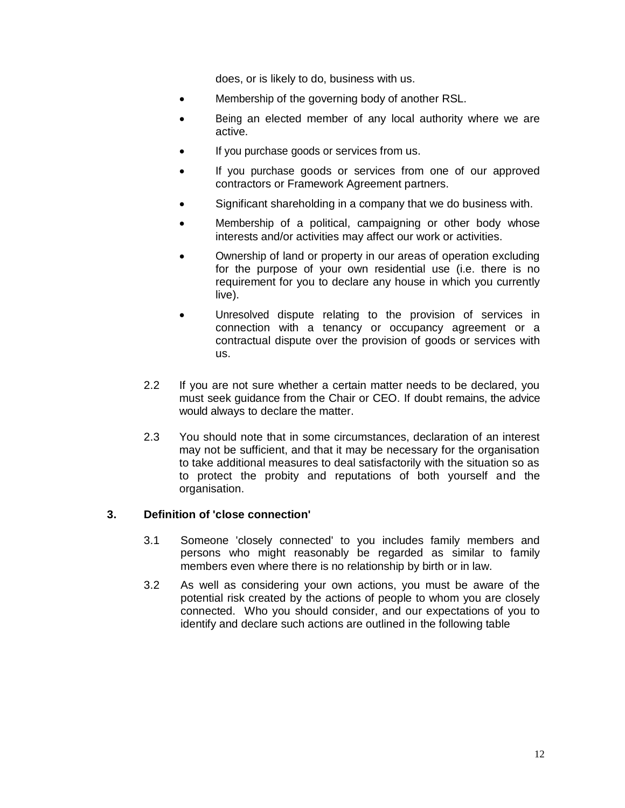does, or is likely to do, business with us.

- Membership of the governing body of another RSL.
- Being an elected member of any local authority where we are active.
- If you purchase goods or services from us.
- If you purchase goods or services from one of our approved contractors or Framework Agreement partners.
- Significant shareholding in a company that we do business with.
- Membership of a political, campaigning or other body whose interests and/or activities may affect our work or activities.
- Ownership of land or property in our areas of operation excluding for the purpose of your own residential use (i.e. there is no requirement for you to declare any house in which you currently live).
- Unresolved dispute relating to the provision of services in connection with a tenancy or occupancy agreement or a contractual dispute over the provision of goods or services with us.
- 2.2 If you are not sure whether a certain matter needs to be declared, you must seek guidance from the Chair or CEO. If doubt remains, the advice would always to declare the matter.
- 2.3 You should note that in some circumstances, declaration of an interest may not be sufficient, and that it may be necessary for the organisation to take additional measures to deal satisfactorily with the situation so as to protect the probity and reputations of both yourself and the organisation.

### **3. Definition of 'close connection'**

- 3.1 Someone 'closely connected' to you includes family members and persons who might reasonably be regarded as similar to family members even where there is no relationship by birth or in law.
- 3.2 As well as considering your own actions, you must be aware of the potential risk created by the actions of people to whom you are closely connected. Who you should consider, and our expectations of you to identify and declare such actions are outlined in the following table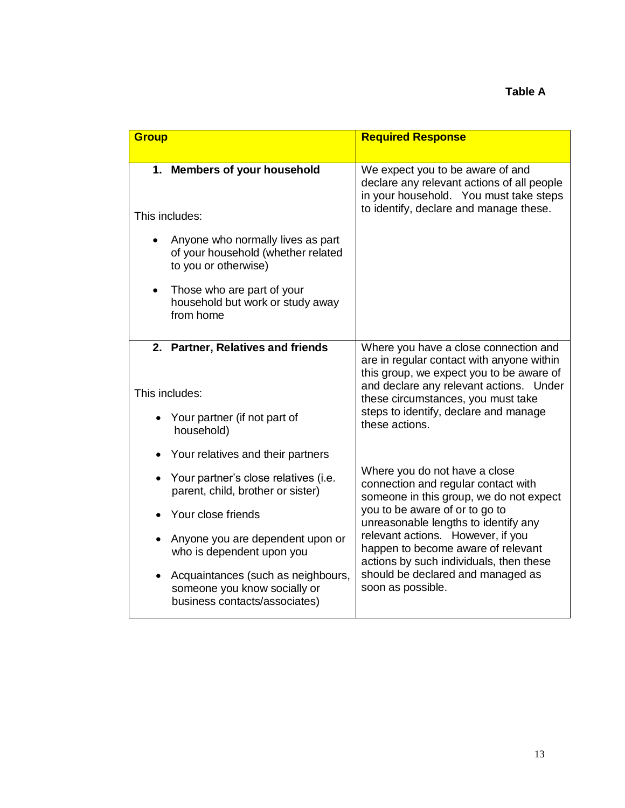| <b>Group</b> |                                                                                                     | <b>Required Response</b>                                                                                                                                                             |
|--------------|-----------------------------------------------------------------------------------------------------|--------------------------------------------------------------------------------------------------------------------------------------------------------------------------------------|
|              | 1. Members of your household                                                                        | We expect you to be aware of and<br>declare any relevant actions of all people<br>in your household. You must take steps                                                             |
|              | This includes:                                                                                      | to identify, declare and manage these.                                                                                                                                               |
|              | Anyone who normally lives as part<br>of your household (whether related<br>to you or otherwise)     |                                                                                                                                                                                      |
|              | Those who are part of your<br>household but work or study away<br>from home                         |                                                                                                                                                                                      |
|              | 2. Partner, Relatives and friends                                                                   | Where you have a close connection and<br>are in regular contact with anyone within                                                                                                   |
|              | This includes:                                                                                      | this group, we expect you to be aware of<br>and declare any relevant actions. Under<br>these circumstances, you must take<br>steps to identify, declare and manage<br>these actions. |
|              | • Your partner (if not part of<br>household)                                                        |                                                                                                                                                                                      |
|              | Your relatives and their partners                                                                   |                                                                                                                                                                                      |
|              | • Your partner's close relatives (i.e.<br>parent, child, brother or sister)                         | Where you do not have a close<br>connection and regular contact with<br>someone in this group, we do not expect                                                                      |
|              | Your close friends                                                                                  | you to be aware of or to go to<br>unreasonable lengths to identify any                                                                                                               |
|              | Anyone you are dependent upon or<br>who is dependent upon you                                       | relevant actions. However, if you<br>happen to become aware of relevant<br>actions by such individuals, then these<br>should be declared and managed as<br>soon as possible.         |
|              | Acquaintances (such as neighbours,<br>someone you know socially or<br>business contacts/associates) |                                                                                                                                                                                      |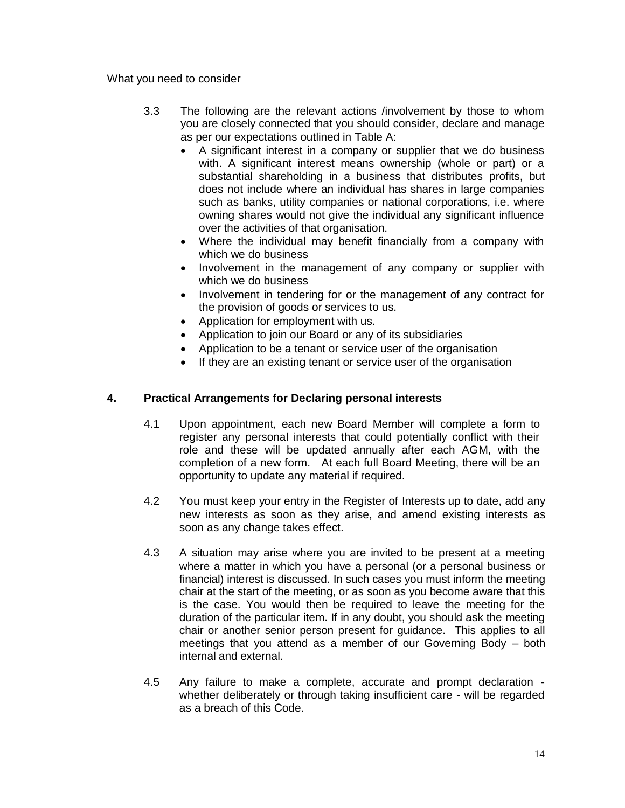What you need to consider

- 3.3 The following are the relevant actions /involvement by those to whom you are closely connected that you should consider, declare and manage as per our expectations outlined in Table A:
	- A significant interest in a company or supplier that we do business with. A significant interest means ownership (whole or part) or a substantial shareholding in a business that distributes profits, but does not include where an individual has shares in large companies such as banks, utility companies or national corporations, i.e. where owning shares would not give the individual any significant influence over the activities of that organisation.
	- Where the individual may benefit financially from a company with which we do business
	- Involvement in the management of any company or supplier with which we do business
	- Involvement in tendering for or the management of any contract for the provision of goods or services to us.
	- Application for employment with us.
	- Application to join our Board or any of its subsidiaries
	- Application to be a tenant or service user of the organisation
	- If they are an existing tenant or service user of the organisation

### **4. Practical Arrangements for Declaring personal interests**

- 4.1 Upon appointment, each new Board Member will complete a form to register any personal interests that could potentially conflict with their role and these will be updated annually after each AGM, with the completion of a new form. At each full Board Meeting, there will be an opportunity to update any material if required.
- 4.2 You must keep your entry in the Register of Interests up to date, add any new interests as soon as they arise, and amend existing interests as soon as any change takes effect.
- 4.3 A situation may arise where you are invited to be present at a meeting where a matter in which you have a personal (or a personal business or financial) interest is discussed. In such cases you must inform the meeting chair at the start of the meeting, or as soon as you become aware that this is the case. You would then be required to leave the meeting for the duration of the particular item. If in any doubt, you should ask the meeting chair or another senior person present for guidance. This applies to all meetings that you attend as a member of our Governing Body – both internal and external.
- 4.5 Any failure to make a complete, accurate and prompt declaration whether deliberately or through taking insufficient care - will be regarded as a breach of this Code.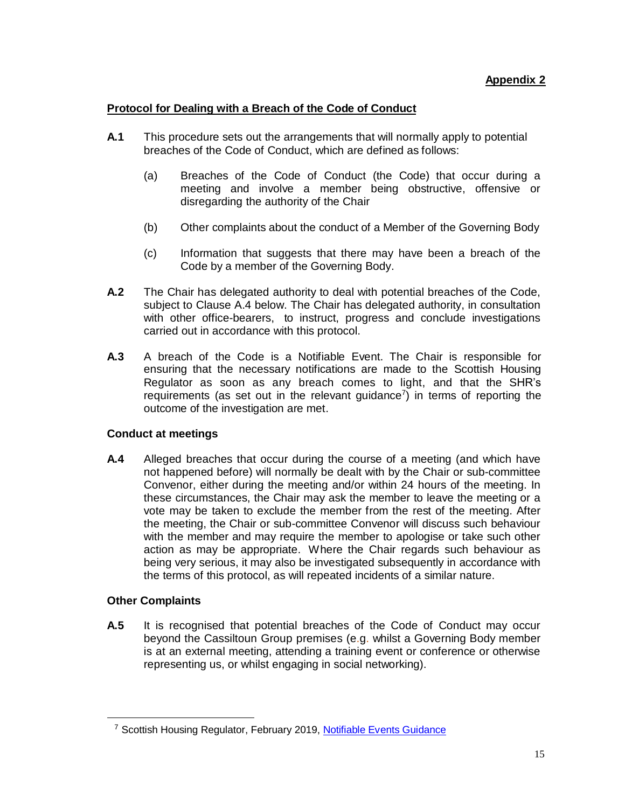# **Protocol for Dealing with a Breach of the Code of Conduct**

- **A.1** This procedure sets out the arrangements that will normally apply to potential breaches of the Code of Conduct, which are defined as follows:
	- (a) Breaches of the Code of Conduct (the Code) that occur during a meeting and involve a member being obstructive, offensive or disregarding the authority of the Chair
	- (b) Other complaints about the conduct of a Member of the Governing Body
	- (c) Information that suggests that there may have been a breach of the Code by a member of the Governing Body.
- **A.2** The Chair has delegated authority to deal with potential breaches of the Code, subject to Clause A.4 below. The Chair has delegated authority, in consultation with other office-bearers, to instruct, progress and conclude investigations carried out in accordance with this protocol.
- **A.3** A breach of the Code is a Notifiable Event. The Chair is responsible for ensuring that the necessary notifications are made to the Scottish Housing Regulator as soon as any breach comes to light, and that the SHR's requirements (as set out in the relevant guidance<sup>7</sup>) in terms of reporting the outcome of the investigation are met.

### **Conduct at meetings**

**A.4** Alleged breaches that occur during the course of a meeting (and which have not happened before) will normally be dealt with by the Chair or sub-committee Convenor, either during the meeting and/or within 24 hours of the meeting. In these circumstances, the Chair may ask the member to leave the meeting or a vote may be taken to exclude the member from the rest of the meeting. After the meeting, the Chair or sub-committee Convenor will discuss such behaviour with the member and may require the member to apologise or take such other action as may be appropriate. Where the Chair regards such behaviour as being very serious, it may also be investigated subsequently in accordance with the terms of this protocol, as will repeated incidents of a similar nature.

### **Other Complaints**

**A.5** It is recognised that potential breaches of the Code of Conduct may occur beyond the Cassiltoun Group premises (e.g. whilst a Governing Body member is at an external meeting, attending a training event or conference or otherwise representing us, or whilst engaging in social networking).

<sup>&</sup>lt;sup>7</sup> Scottish Housing Regulator, February 2019, [Notifiable Events Guidance](https://www.housingregulator.gov.scot/for-landlords/statutory-guidance/notifiable-events)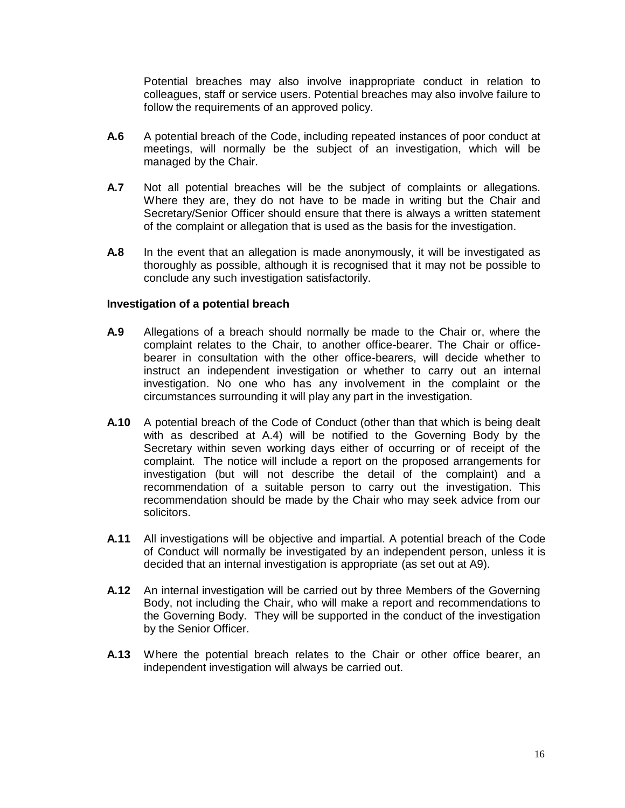Potential breaches may also involve inappropriate conduct in relation to colleagues, staff or service users. Potential breaches may also involve failure to follow the requirements of an approved policy.

- **A.6** A potential breach of the Code, including repeated instances of poor conduct at meetings, will normally be the subject of an investigation, which will be managed by the Chair.
- **A.7** Not all potential breaches will be the subject of complaints or allegations. Where they are, they do not have to be made in writing but the Chair and Secretary/Senior Officer should ensure that there is always a written statement of the complaint or allegation that is used as the basis for the investigation.
- **A.8** In the event that an allegation is made anonymously, it will be investigated as thoroughly as possible, although it is recognised that it may not be possible to conclude any such investigation satisfactorily.

#### **Investigation of a potential breach**

- **A.9** Allegations of a breach should normally be made to the Chair or, where the complaint relates to the Chair, to another office-bearer. The Chair or officebearer in consultation with the other office-bearers, will decide whether to instruct an independent investigation or whether to carry out an internal investigation. No one who has any involvement in the complaint or the circumstances surrounding it will play any part in the investigation.
- **A.10** A potential breach of the Code of Conduct (other than that which is being dealt with as described at A.4) will be notified to the Governing Body by the Secretary within seven working days either of occurring or of receipt of the complaint. The notice will include a report on the proposed arrangements for investigation (but will not describe the detail of the complaint) and a recommendation of a suitable person to carry out the investigation. This recommendation should be made by the Chair who may seek advice from our solicitors.
- **A.11** All investigations will be objective and impartial. A potential breach of the Code of Conduct will normally be investigated by an independent person, unless it is decided that an internal investigation is appropriate (as set out at A9).
- **A.12** An internal investigation will be carried out by three Members of the Governing Body, not including the Chair, who will make a report and recommendations to the Governing Body. They will be supported in the conduct of the investigation by the Senior Officer.
- **A.13** Where the potential breach relates to the Chair or other office bearer, an independent investigation will always be carried out.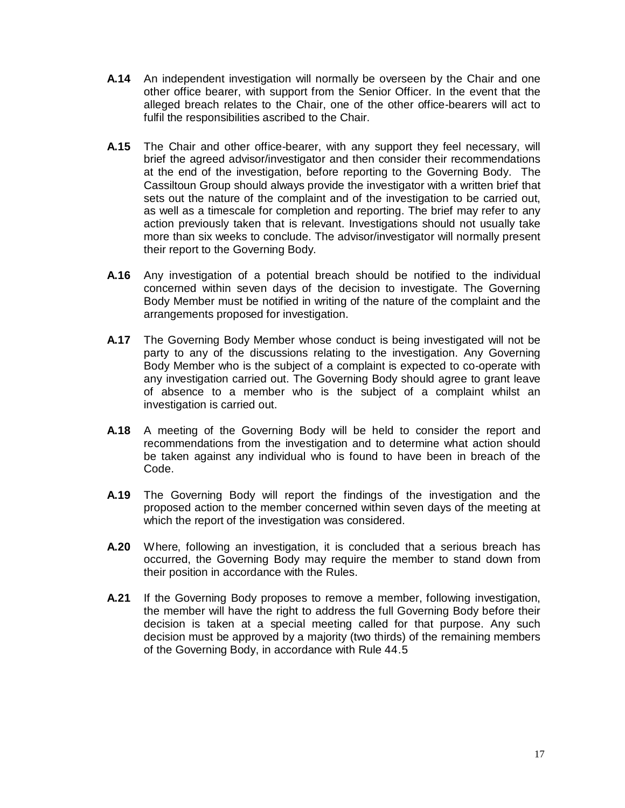- **A.14** An independent investigation will normally be overseen by the Chair and one other office bearer, with support from the Senior Officer. In the event that the alleged breach relates to the Chair, one of the other office-bearers will act to fulfil the responsibilities ascribed to the Chair.
- **A.15** The Chair and other office-bearer, with any support they feel necessary, will brief the agreed advisor/investigator and then consider their recommendations at the end of the investigation, before reporting to the Governing Body. The Cassiltoun Group should always provide the investigator with a written brief that sets out the nature of the complaint and of the investigation to be carried out, as well as a timescale for completion and reporting. The brief may refer to any action previously taken that is relevant. Investigations should not usually take more than six weeks to conclude. The advisor/investigator will normally present their report to the Governing Body.
- **A.16** Any investigation of a potential breach should be notified to the individual concerned within seven days of the decision to investigate. The Governing Body Member must be notified in writing of the nature of the complaint and the arrangements proposed for investigation.
- **A.17** The Governing Body Member whose conduct is being investigated will not be party to any of the discussions relating to the investigation. Any Governing Body Member who is the subject of a complaint is expected to co-operate with any investigation carried out. The Governing Body should agree to grant leave of absence to a member who is the subject of a complaint whilst an investigation is carried out.
- **A.18** A meeting of the Governing Body will be held to consider the report and recommendations from the investigation and to determine what action should be taken against any individual who is found to have been in breach of the Code.
- **A.19** The Governing Body will report the findings of the investigation and the proposed action to the member concerned within seven days of the meeting at which the report of the investigation was considered.
- **A.20** Where, following an investigation, it is concluded that a serious breach has occurred, the Governing Body may require the member to stand down from their position in accordance with the Rules.
- **A.21** If the Governing Body proposes to remove a member, following investigation, the member will have the right to address the full Governing Body before their decision is taken at a special meeting called for that purpose. Any such decision must be approved by a majority (two thirds) of the remaining members of the Governing Body, in accordance with Rule 44.5